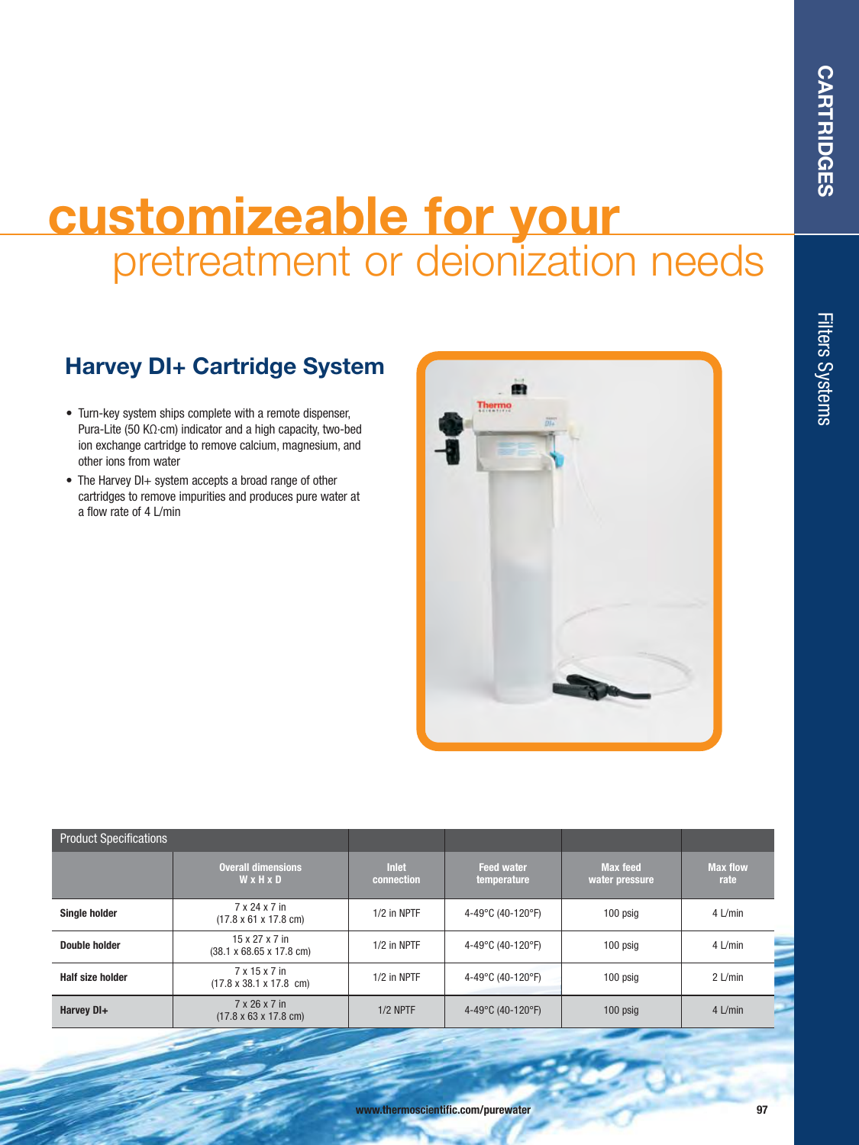## **customizeable for your**  pretreatment or deionization needs

## **Harvey DI+ Cartridge System**

- Turn-key system ships complete with a remote dispenser, Pura-Lite (50 KΩ.cm) indicator and a high capacity, two-bed ion exchange cartridge to remove calcium, magnesium, and other ions from water
- The Harvey DI+ system accepts a broad range of other cartridges to remove impurities and produces pure water at a flow rate of 4 L/min



| <b>Product Specifications</b> |                                                                    |                            |                                  |                                   |                         |
|-------------------------------|--------------------------------------------------------------------|----------------------------|----------------------------------|-----------------------------------|-------------------------|
|                               | <b>Overall dimensions</b><br>WxHxD                                 | <b>Inlet</b><br>connection | <b>Feed water</b><br>temperature | <b>Max feed</b><br>water pressure | <b>Max flow</b><br>rate |
| <b>Single holder</b>          | 7 x 24 x 7 in<br>$(17.8 \times 61 \times 17.8 \text{ cm})$         | $1/2$ in NPTF              | 4-49°C (40-120°F)                | 100 psig                          | 4 L/min                 |
| Double holder                 | $15 \times 27 \times 7$ in<br>$(38.1 \times 68.65 \times 17.8$ cm) | $1/2$ in NPTF              | 4-49°C (40-120°F)                | 100 psig                          | 4 L/min                 |
| <b>Half size holder</b>       | 7 x 15 x 7 in<br>$(17.8 \times 38.1 \times 17.8 \text{ cm})$       | $1/2$ in NPTF              | 4-49°C (40-120°F)                | 100 psig                          | $2$ L/min               |
| Harvey DI+                    | 7 x 26 x 7 in<br>$(17.8 \times 63 \times 17.8 \text{ cm})$         | $1/2$ NPTF                 | 4-49°C (40-120°F)                | 100 psig                          | $4$ L/min               |